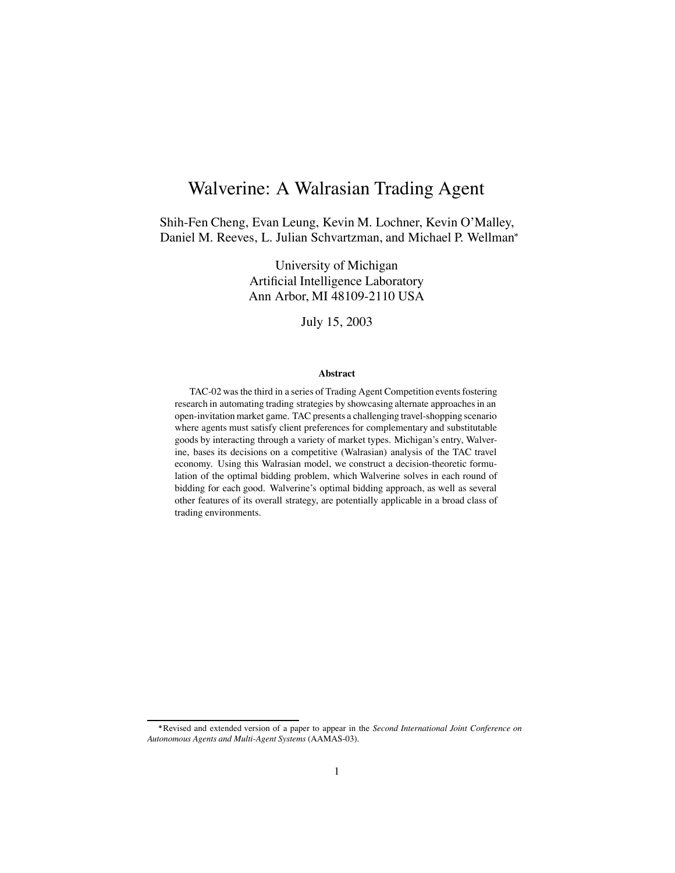# Walverine: A Walrasian Trading Agent

Shih-Fen Cheng, Evan Leung, Kevin M. Lochner, Kevin O'Malley, Daniel M. Reeves, L. Julian Schvartzman, and Michael P. Wellman

> University of Michigan Artificial Intelligence Laboratory Ann Arbor, MI 48109-2110 USA

> > July 15, 2003

#### **Abstract**

TAC-02 was the third in a series of Trading Agent Competition events fostering research in automating trading strategies by showcasing alternate approaches in an open-invitation market game. TAC presents a challenging travel-shopping scenario where agents must satisfy client preferences for complementary and substitutable goods by interacting through a variety of market types. Michigan's entry, Walverine, bases its decisions on a competitive (Walrasian) analysis of the TAC travel economy. Using this Walrasian model, we construct a decision-theoretic formulation of the optimal bidding problem, which Walverine solves in each round of bidding for each good. Walverine's optimal bidding approach, as well as several other features of its overall strategy, are potentially applicable in a broad class of trading environments.

Revised and extended version of a paper to appear in the *Second International Joint Conference on Autonomous Agents and Multi-Agent Systems* (AAMAS-03).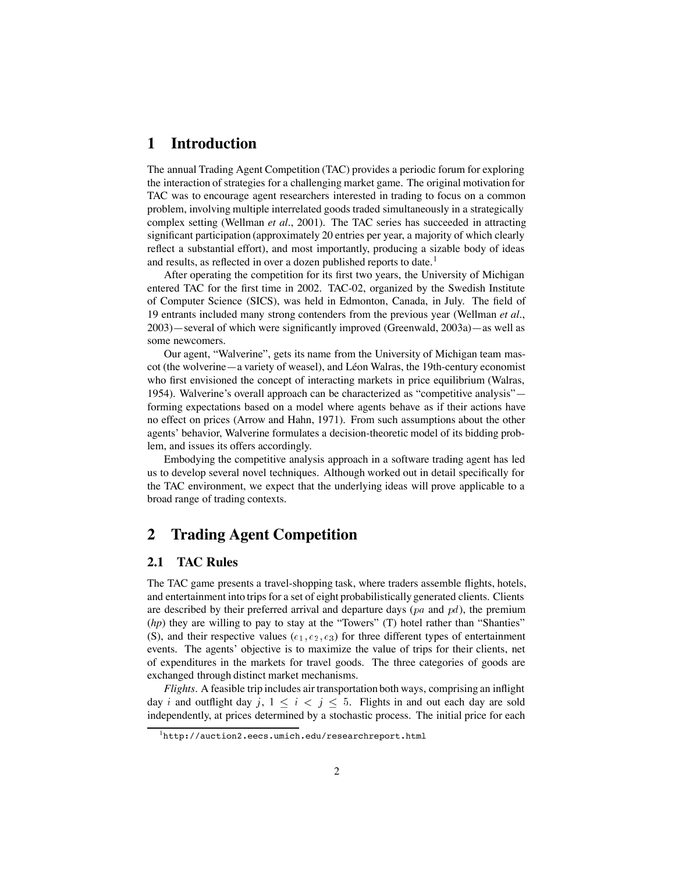### **1 Introduction**

The annual Trading Agent Competition (TAC) provides a periodic forum for exploring the interaction of strategies for a challenging market game. The original motivation for TAC was to encourage agent researchers interested in trading to focus on a common problem, involving multiple interrelated goods traded simultaneously in a strategically complex setting (Wellman *et al.*, 2001). The TAC series has succeeded in attracting significant participation (approximately 20 entries per year, a majority of which clearly reflect a substantial effort), and most importantly, producing a sizable body of ideas and results, as reflected in over a dozen published reports to date.<sup>1</sup>

After operating the competition for its first two years, the University of Michigan entered TAC for the first time in 2002. TAC-02, organized by the Swedish Institute of Computer Science (SICS), was held in Edmonton, Canada, in July. The field of 19 entrants included many strong contenders from the previous year (Wellman *et al.*, 2003)—several of which were significantly improved (Greenwald, 2003a)—as well as some newcomers.

Our agent, "Walverine", gets its name from the University of Michigan team mascot (the wolverine—a variety of weasel), and Léon Walras, the 19th-century economist who first envisioned the concept of interacting markets in price equilibrium (Walras, 1954). Walverine's overall approach can be characterized as "competitive analysis" forming expectations based on a model where agents behave as if their actions have no effect on prices (Arrow and Hahn, 1971). From such assumptions about the other agents' behavior, Walverine formulates a decision-theoretic model of its bidding problem, and issues its offers accordingly.

Embodying the competitive analysis approach in a software trading agent has led us to develop several novel techniques. Although worked out in detail specifically for the TAC environment, we expect that the underlying ideas will prove applicable to a broad range of trading contexts.

# **2 Trading Agent Competition**

### **2.1 TAC Rules**

The TAC game presents a travel-shopping task, where traders assemble flights, hotels, and entertainment into trips for a set of eight probabilistically generated clients. Clients are described by their preferred arrival and departure days ( $pa$  and  $pd$ ), the premium (*hp*) they are willing to pay to stay at the "Towers" (T) hotel rather than "Shanties" (S), and their respective values ( $e_1, e_2, e_3$ ) for three different types of entertainment events. The agents' objective is to maximize the value of trips for their clients, net of expenditures in the markets for travel goods. The three categories of goods are exchanged through distinct market mechanisms.

*Flights*. A feasible trip includes air transportation both ways, comprising an inflight day *i* and outflight day j,  $1 \leq i < j \leq 5$ . Flights in and out each day are sold independently, at prices determined by a stochastic process. The initial price for each

<sup>1</sup>http://auction2.eecs.umich.edu/researchreport.html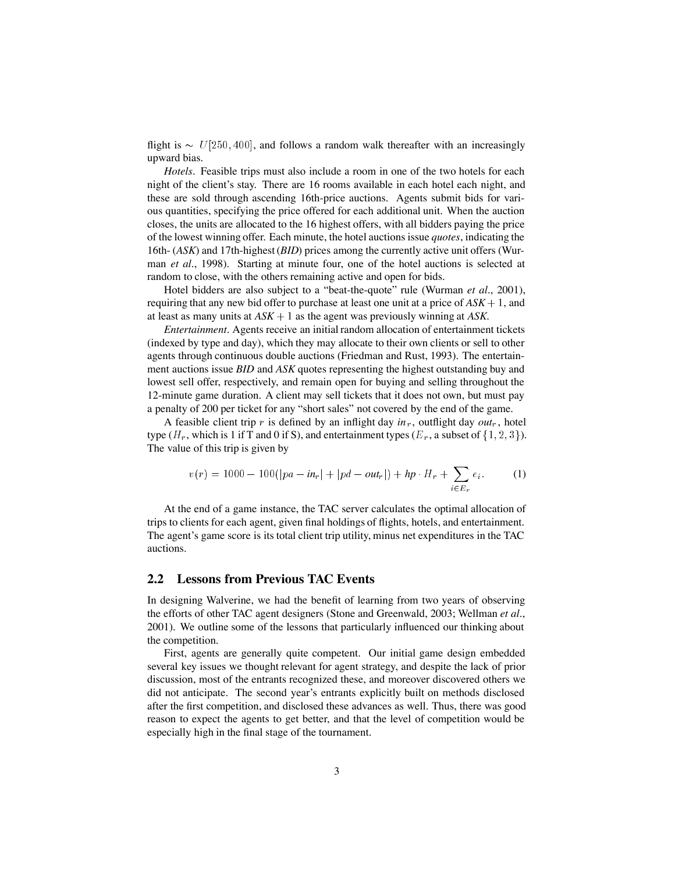flight is  $\sim U[250, 400]$ , and follows a random walk thereafter with an increasingly upward bias.

*Hotels*. Feasible trips must also include a room in one of the two hotels for each night of the client's stay. There are 16 rooms available in each hotel each night, and these are sold through ascending 16th-price auctions. Agents submit bids for various quantities, specifying the price offered for each additional unit. When the auction closes, the units are allocated to the 16 highest offers, with all bidders paying the price of the lowest winning offer. Each minute, the hotel auctions issue *quotes*, indicating the 16th- (*ASK*) and 17th-highest (*BID*) prices among the currently active unit offers (Wurman *et al.*, 1998). Starting at minute four, one of the hotel auctions is selected at random to close, with the others remaining active and open for bids.

Hotel bidders are also subject to a "beat-the-quote" rule (Wurman *et al.*, 2001), requiring that any new bid offer to purchase at least one unit at a price of  $ASK + 1$ , and at least as many units at  $ASK + 1$  as the agent was previously winning at  $ASK$ .

*Entertainment*. Agents receive an initial random allocation of entertainment tickets (indexed by type and day), which they may allocate to their own clients or sell to other agents through continuous double auctions (Friedman and Rust, 1993). The entertainment auctions issue *BID* and *ASK* quotes representing the highest outstanding buy and lowest sell offer, respectively, and remain open for buying and selling throughout the 12-minute game duration. A client may sell tickets that it does not own, but must pay a penalty of 200 per ticket for any "short sales" not covered by the end of the game.

A feasible client trip r is defined by an inflight day  $in_r$ , outflight day  $out_r$ , hotel type ( $H_r$ , which is 1 if T and 0 if S), and entertainment types ( $E_r$ , a subset of  $\{1, 2, 3\}$ ). The value of this trip is given by

$$
v(r) = 1000 - 100(|pa - in_r| + |pd - out_r|) + hp \cdot H_r + \sum_{i \in E_r} e_i.
$$
 (1)

At the end of a game instance, the TAC server calculates the optimal allocation of trips to clients for each agent, given final holdings of flights, hotels, and entertainment. The agent's game score is its total client trip utility, minus net expenditures in the TAC auctions.

#### **2.2 Lessons from Previous TAC Events**

In designing Walverine, we had the benefit of learning from two years of observing the efforts of other TAC agent designers (Stone and Greenwald, 2003; Wellman *et al.*, 2001). We outline some of the lessons that particularly influenced our thinking about the competition.

First, agents are generally quite competent. Our initial game design embedded several key issues we thought relevant for agent strategy, and despite the lack of prior discussion, most of the entrants recognized these, and moreover discovered others we did not anticipate. The second year's entrants explicitly built on methods disclosed after the first competition, and disclosed these advances as well. Thus, there was good reason to expect the agents to get better, and that the level of competition would be especially high in the final stage of the tournament.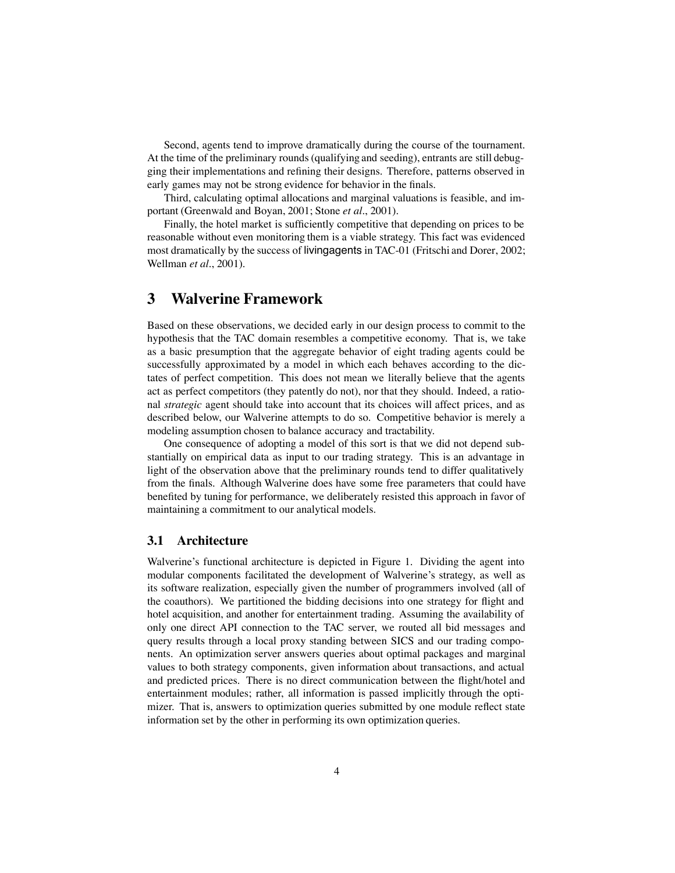Second, agents tend to improve dramatically during the course of the tournament. At the time of the preliminary rounds (qualifying and seeding), entrants are still debugging their implementations and refining their designs. Therefore, patterns observed in early games may not be strong evidence for behavior in the finals.

Third, calculating optimal allocations and marginal valuations is feasible, and important (Greenwald and Boyan, 2001; Stone *et al.*, 2001).

Finally, the hotel market is sufficiently competitive that depending on prices to be reasonable without even monitoring them is a viable strategy. This fact was evidenced most dramatically by the success of livingagents in TAC-01 (Fritschi and Dorer, 2002; Wellman *et al.*, 2001).

### **3 Walverine Framework**

Based on these observations, we decided early in our design process to commit to the hypothesis that the TAC domain resembles a competitive economy. That is, we take as a basic presumption that the aggregate behavior of eight trading agents could be successfully approximated by a model in which each behaves according to the dictates of perfect competition. This does not mean we literally believe that the agents act as perfect competitors (they patently do not), nor that they should. Indeed, a rational *strategic* agent should take into account that its choices will affect prices, and as described below, our Walverine attempts to do so. Competitive behavior is merely a modeling assumption chosen to balance accuracy and tractability.

One consequence of adopting a model of this sort is that we did not depend substantially on empirical data as input to our trading strategy. This is an advantage in light of the observation above that the preliminary rounds tend to differ qualitatively from the finals. Although Walverine does have some free parameters that could have benefited by tuning for performance, we deliberately resisted this approach in favor of maintaining a commitment to our analytical models.

### **3.1 Architecture**

Walverine's functional architecture is depicted in Figure 1. Dividing the agent into modular components facilitated the development of Walverine's strategy, as well as its software realization, especially given the number of programmers involved (all of the coauthors). We partitioned the bidding decisions into one strategy for flight and hotel acquisition, and another for entertainment trading. Assuming the availability of only one direct API connection to the TAC server, we routed all bid messages and query results through a local proxy standing between SICS and our trading components. An optimization server answers queries about optimal packages and marginal values to both strategy components, given information about transactions, and actual and predicted prices. There is no direct communication between the flight/hotel and entertainment modules; rather, all information is passed implicitly through the optimizer. That is, answers to optimization queries submitted by one module reflect state information set by the other in performing its own optimization queries.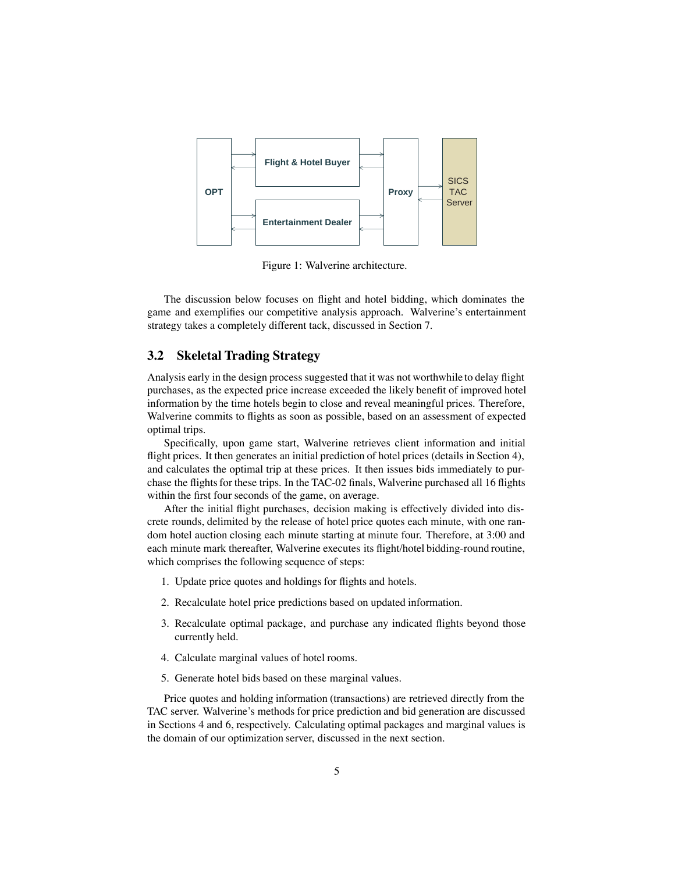

Figure 1: Walverine architecture.

The discussion below focuses on flight and hotel bidding, which dominates the game and exemplifies our competitive analysis approach. Walverine's entertainment strategy takes a completely different tack, discussed in Section 7.

### **3.2 Skeletal Trading Strategy**

Analysis early in the design process suggested that it was not worthwhile to delay flight purchases, as the expected price increase exceeded the likely benefit of improved hotel information by the time hotels begin to close and reveal meaningful prices. Therefore, Walverine commits to flights as soon as possible, based on an assessment of expected optimal trips.

Specifically, upon game start, Walverine retrieves client information and initial flight prices. It then generates an initial prediction of hotel prices (details in Section 4), and calculates the optimal trip at these prices. It then issues bids immediately to purchase the flights for these trips. In the TAC-02 finals, Walverine purchased all 16 flights within the first four seconds of the game, on average.

After the initial flight purchases, decision making is effectively divided into discrete rounds, delimited by the release of hotel price quotes each minute, with one random hotel auction closing each minute starting at minute four. Therefore, at 3:00 and each minute mark thereafter, Walverine executes its flight/hotel bidding-round routine, which comprises the following sequence of steps:

- 1. Update price quotes and holdings for flights and hotels.
- 2. Recalculate hotel price predictions based on updated information.
- 3. Recalculate optimal package, and purchase any indicated flights beyond those currently held.
- 4. Calculate marginal values of hotel rooms.
- 5. Generate hotel bids based on these marginal values.

Price quotes and holding information (transactions) are retrieved directly from the TAC server. Walverine's methods for price prediction and bid generation are discussed in Sections 4 and 6, respectively. Calculating optimal packages and marginal values is the domain of our optimization server, discussed in the next section.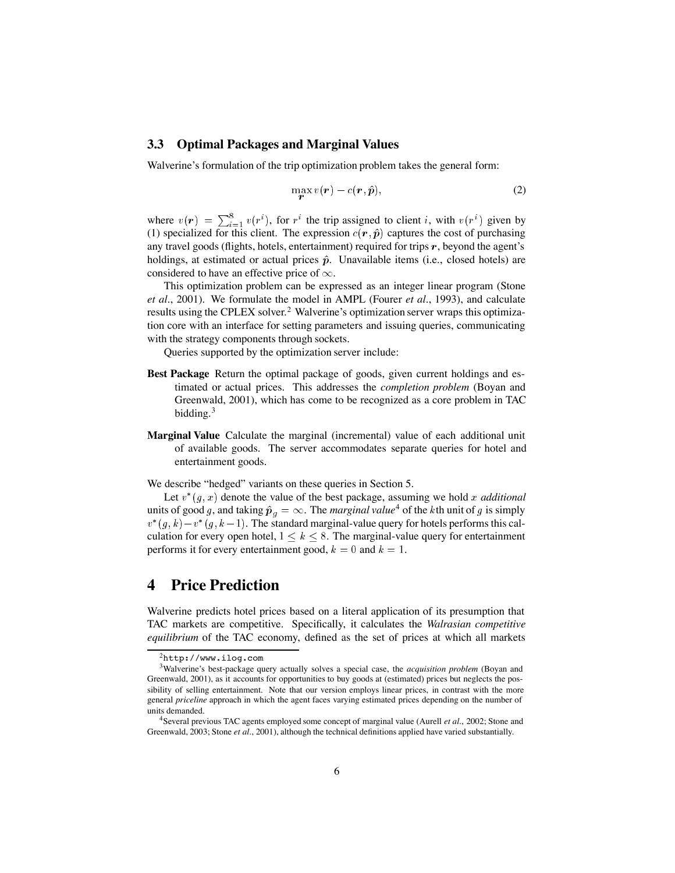### **3.3 Optimal Packages and Marginal Values**

Walverine's formulation of the trip optimization problem takes the general form:

$$
\max_{\mathbf{\hat{x}}} v(\mathbf{r}) - c(\mathbf{r}, \hat{\mathbf{p}}), \tag{2}
$$

where  $v(r) = \sum_{i=1}^{\infty} v(r^i)$ , for  $r^i$  the trip assigned to client i, with  $v(r^i)$  given by (1) specialized for this client. The expression  $c(\mathbf{r}, \hat{\mathbf{p}})$  captures the cost of purchasing any travel goods (flights, hotels, entertainment) required for trips  $r$ , beyond the agent's holdings, at estimated or actual prices  $\hat{p}$ . Unavailable items (i.e., closed hotels) are considered to have an effective price of  $\infty$ .

This optimization problem can be expressed as an integer linear program (Stone *et al.*, 2001). We formulate the model in AMPL (Fourer *et al.*, 1993), and calculate results using the CPLEX solver.<sup>2</sup> Walverine's optimization server wraps this optimization core with an interface for setting parameters and issuing queries, communicating with the strategy components through sockets.

Queries supported by the optimization server include:

- **Best Package** Return the optimal package of goods, given current holdings and estimated or actual prices. This addresses the *completion problem* (Boyan and Greenwald, 2001), which has come to be recognized as a core problem in TAC bidding.<sup>3</sup>
- **Marginal Value** Calculate the marginal (incremental) value of each additional unit of available goods. The server accommodates separate queries for hotel and entertainment goods.

We describe "hedged" variants on these queries in Section 5.

Let  $v^*(g, x)$  denote the value of the best package, assuming we hold x *additional* units of good g, and taking  $\hat{p}_g = \infty$ . The *marginal value*<sup>4</sup> of the kth unit of g is simply  $v^*(g, k) - v^*(g, k-1)$ . The standard marginal-value query for hotels performs this calculation for every open hotel,  $1 \leq k \leq 8$ . The marginal-value query for entertainment performs it for every entertainment good,  $k = 0$  and  $k = 1$ .

### **4 Price Prediction**

Walverine predicts hotel prices based on a literal application of its presumption that TAC markets are competitive. Specifically, it calculates the *Walrasian competitive equilibrium* of the TAC economy, defined as the set of prices at which all markets

 $^{2}$ http://www.ilog.com

<sup>3</sup>Walverine's best-package query actually solves a special case, the *acquisition problem* (Boyan and Greenwald, 2001), as it accounts for opportunities to buy goods at (estimated) prices but neglects the possibility of selling entertainment. Note that our version employs linear prices, in contrast with the more general *priceline* approach in which the agent faces varying estimated prices depending on the number of units demanded.

<sup>4</sup>Several previous TAC agents employed some concept of marginal value (Aurell *et al.*, 2002; Stone and Greenwald, 2003; Stone *et al.*, 2001), although the technical definitions applied have varied substantially.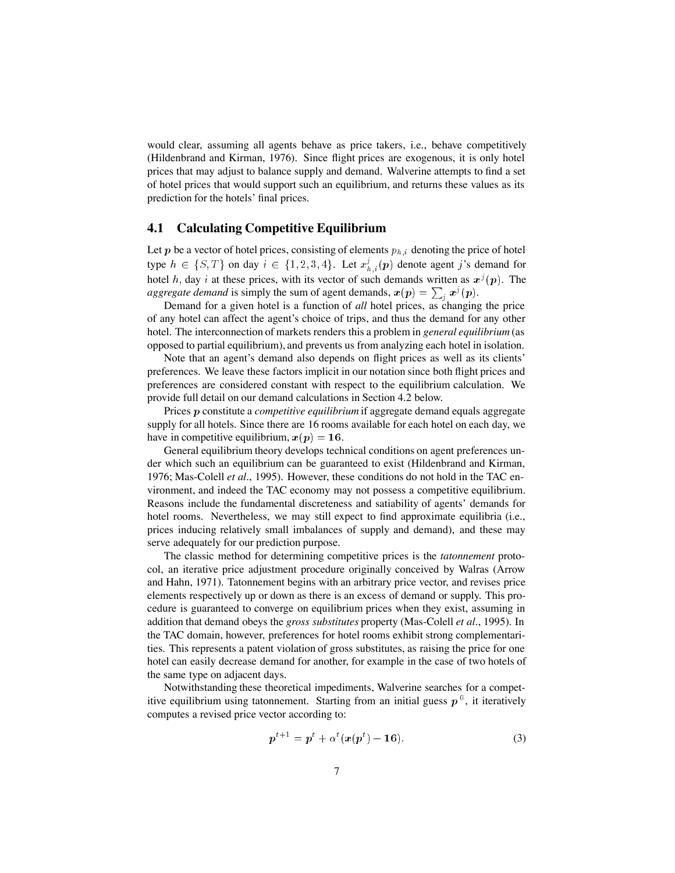would clear, assuming all agents behave as price takers, i.e., behave competitively (Hildenbrand and Kirman, 1976). Since flight prices are exogenous, it is only hotel prices that may adjust to balance supply and demand. Walverine attempts to find a set of hotel prices that would support such an equilibrium, and returns these values as its prediction for the hotels' final prices.

### **4.1 Calculating Competitive Equilibrium**

Let  $p$  be a vector of hotel prices, consisting of elements  $p_{h,i}$  denoting the price of hotel type  $h \in \{S, T\}$  on day  $i \in \{1, 2, 3, 4\}$ . Let  $x_{h,i}^j(\mathbf{p})$  denote agent j's demand for hotel h, day i at these prices, with its vector of such demands written as  $x^j(p)$ . The *aggregate demand* is simply the sum of agent demands,  $x(p) = \sum_i x^j(p)$ .

Demand for a given hotel is a function of *all* hotel prices, as changing the price of any hotel can affect the agent's choice of trips, and thus the demand for any other hotel. The interconnection of markets renders this a problem in *general equilibrium* (as opposed to partial equilibrium), and prevents us from analyzing each hotel in isolation.

Note that an agent's demand also depends on flight prices as well as its clients' preferences. We leave these factors implicit in our notation since both flight prices and preferences are considered constant with respect to the equilibrium calculation. We provide full detail on our demand calculations in Section 4.2 below.

Prices *p* constitute a *competitive equilibrium* if aggregate demand equals aggregate supply for all hotels. Since there are 16 rooms available for each hotel on each day, we have in competitive equilibrium,  $x(p) = 16$ .

General equilibrium theory develops technical conditions on agent preferences under which such an equilibrium can be guaranteed to exist (Hildenbrand and Kirman, 1976; Mas-Colell *et al.*, 1995). However, these conditions do not hold in the TAC environment, and indeed the TAC economy may not possess a competitive equilibrium. Reasons include the fundamental discreteness and satiability of agents' demands for hotel rooms. Nevertheless, we may still expect to find approximate equilibria (i.e., prices inducing relatively small imbalances of supply and demand), and these may serve adequately for our prediction purpose.

The classic method for determining competitive prices is the *tatonnement* protocol, an iterative price adjustment procedure originally conceived by Walras (Arrow and Hahn, 1971). Tatonnement begins with an arbitrary price vector, and revises price elements respectively up or down as there is an excess of demand or supply. This procedure is guaranteed to converge on equilibrium prices when they exist, assuming in addition that demand obeys the *gross substitutes* property (Mas-Colell *et al.*, 1995). In the TAC domain, however, preferences for hotel rooms exhibit strong complementarities. This represents a patent violation of gross substitutes, as raising the price for one hotel can easily decrease demand for another, for example in the case of two hotels of the same type on adjacent days.

Notwithstanding these theoretical impediments, Walverine searches for a competitive equilibrium using tatonnement. Starting from an initial guess  $p^{\,0}$ , it iteratively computes a revised price vector according to:

$$
\boldsymbol{p}^{t+1} = \boldsymbol{p}^t + \alpha^t(\boldsymbol{x}(\boldsymbol{p}^t) - \mathbf{16}).\tag{3}
$$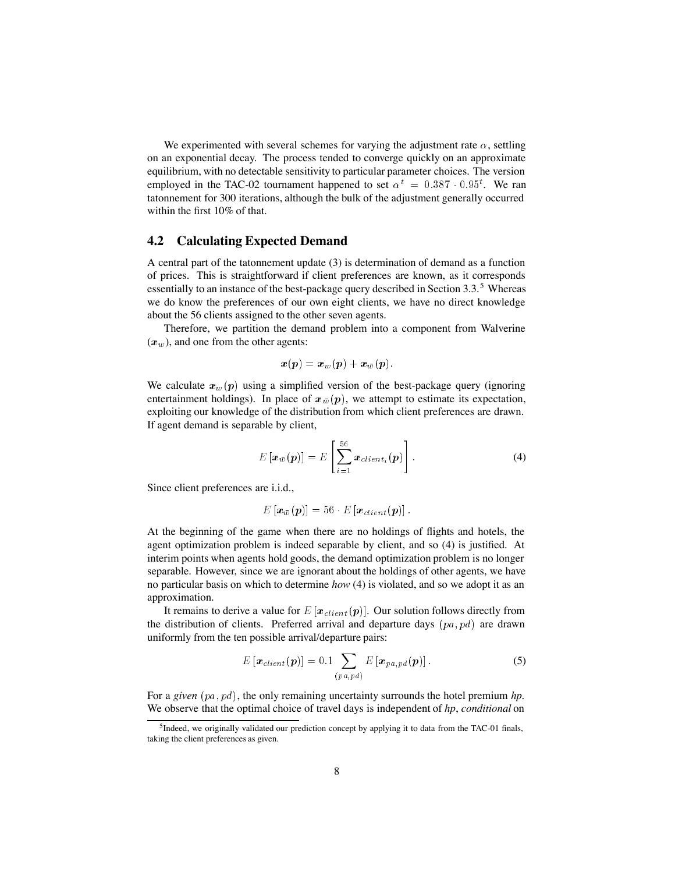We experimented with several schemes for varying the adjustment rate  $\alpha$ , settling on an exponential decay. The process tended to converge quickly on an approximate equilibrium, with no detectable sensitivity to particular parameter choices. The version employed in the TAC-02 tournament happened to set  $\alpha^t = 0.387 \cdot 0.95^t$ . We ran tatonnement for 300 iterations, although the bulk of the adjustment generally occurred within the first 10% of that.

### **4.2 Calculating Expected Demand**

A central part of the tatonnement update (3) is determination of demand as a function of prices. This is straightforward if client preferences are known, as it corresponds essentially to an instance of the best-package query described in Section 3.3.<sup>5</sup> Whereas we do know the preferences of our own eight clients, we have no direct knowledge about the 56 clients assigned to the other seven agents.

Therefore, we partition the demand problem into a component from Walverine  $(x_w)$ , and one from the other agents:

$$
\boldsymbol{x}(\boldsymbol{p}) = \boldsymbol{x}_w\left(\boldsymbol{p}\right) + \boldsymbol{x}_{\bar{w}}\left(\boldsymbol{p}\right).
$$

We calculate  $x_w(p)$  using a simplified version of the best-package query (ignoring entertainment holdings). In place of  $x_{\bar{w}}(p)$ , we attempt to estimate its expectation, exploiting our knowledge of the distribution from which client preferences are drawn. If agent demand is separable by client,

$$
E\left[\boldsymbol{x}_{\bar{w}}(\boldsymbol{p})\right] = E\left[\sum_{i=1}^{56} \boldsymbol{x}_{client_i}(\boldsymbol{p})\right]. \tag{4}
$$

Since client preferences are i.i.d.,

$$
E\left[\boldsymbol{x}_{\bar{w}}(\boldsymbol{p})\right] = 56 \cdot E\left[\boldsymbol{x}_{client}(\boldsymbol{p})\right].
$$

At the beginning of the game when there are no holdings of flights and hotels, the agent optimization problem is indeed separable by client, and so (4) is justified. At interim points when agents hold goods, the demand optimization problem is no longer separable. However, since we are ignorant about the holdings of other agents, we have no particular basis on which to determine *how* (4) is violated, and so we adopt it as an approximation.

It remains to derive a value for  $E\left[\boldsymbol{x}_{client}(\boldsymbol{p})\right]$ . Our solution follows directly from the distribution of clients. Preferred arrival and departure days  $(pa, pd)$  are drawn uniformly from the ten possible arrival/departure pairs:

$$
E\left[\boldsymbol{x}_{client}(\boldsymbol{p})\right] = 0.1 \sum_{(pa, pd)} E\left[\boldsymbol{x}_{pa,pd}(\boldsymbol{p})\right]. \tag{5}
$$

For a *given* (*pa*, *pd*), the only remaining uncertainty surrounds the hotel premium *hp*. We observe that the optimal choice of travel days is independent of *hp*, *conditional* on

<sup>&</sup>lt;sup>5</sup>Indeed, we originally validated our prediction concept by applying it to data from the TAC-01 finals, taking the client preferences as given.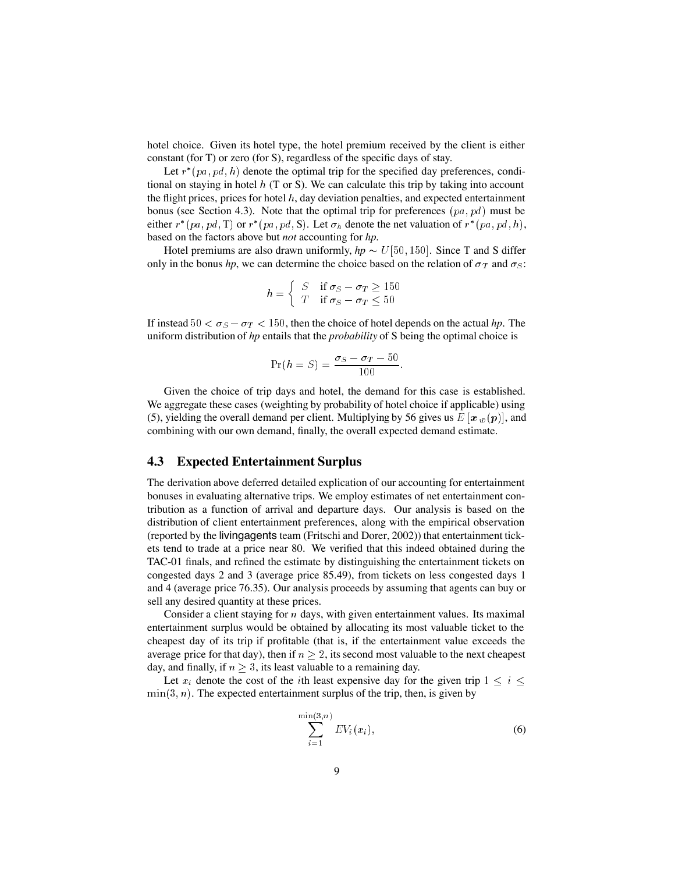hotel choice. Given its hotel type, the hotel premium received by the client is either constant (for T) or zero (for S), regardless of the specific days of stay.

Let  $r^*(pa, pd, h)$  denote the optimal trip for the specified day preferences, conditional on staying in hotel  $h(T \text{ or } S)$ . We can calculate this trip by taking into account the flight prices, prices for hotel  $h$ , day deviation penalties, and expected entertainment bonus (see Section 4.3). Note that the optimal trip for preferences  $(pa, pd)$  must be either  $r^*(pa, pd, T)$  or  $r^*(pa, pd, S)$ . Let  $\sigma_h$  denote the net valuation of  $r^*(pa, pd, h)$ , based on the factors above but *not* accounting for *hp*.

Hotel premiums are also drawn uniformly,  $hp \sim U[50, 150]$ . Since T and S differ only in the bonus *hp*, we can determine the choice based on the relation of  $\sigma_T$  and  $\sigma_S$ :

$$
h = \begin{cases} S & \text{if } \sigma_S - \sigma_T \ge 150 \\ T & \text{if } \sigma_S - \sigma_T \le 50 \end{cases}
$$

If instead  $50 < \sigma_S - \sigma_T < 150$ , then the choice of hotel depends on the actual *hp*. The uniform distribution of *hp* entails that the *probability* of S being the optimal choice is

$$
\Pr(h = S) = \frac{\sigma_S - \sigma_T - 50}{100}.
$$

Given the choice of trip days and hotel, the demand for this case is established. We aggregate these cases (weighting by probability of hotel choice if applicable) using (5), yielding the overall demand per client. Multiplying by 56 gives us  $E[x \frac{1}{w}(p)]$ , and combining with our own demand, finally, the overall expected demand estimate.

#### **4.3 Expected Entertainment Surplus**

The derivation above deferred detailed explication of our accounting for entertainment bonuses in evaluating alternative trips. We employ estimates of net entertainment contribution as a function of arrival and departure days. Our analysis is based on the distribution of client entertainment preferences, along with the empirical observation (reported by the livingagents team (Fritschi and Dorer, 2002)) that entertainment tickets tend to trade at a price near 80. We verified that this indeed obtained during the TAC-01 finals, and refined the estimate by distinguishing the entertainment tickets on congested days 2 and 3 (average price 85.49), from tickets on less congested days 1 and 4 (average price 76.35). Our analysis proceeds by assuming that agents can buy or sell any desired quantity at these prices.

Consider a client staying for  $n$  days, with given entertainment values. Its maximal entertainment surplus would be obtained by allocating its most valuable ticket to the cheapest day of its trip if profitable (that is, if the entertainment value exceeds the average price for that day), then if  $n \geq 2$ , its second most valuable to the next cheapest day, and finally, if  $n \geq 3$ , its least valuable to a remaining day.

Let  $x_i$  denote the cost of the *i*th least expensive day for the given trip  $1 \leq i \leq$  $\min(3, n)$ . The expected entertainment surplus of the trip, then, is given by

$$
\sum_{i=1}^{\min(3,n)} E V_i(x_i), \qquad (6)
$$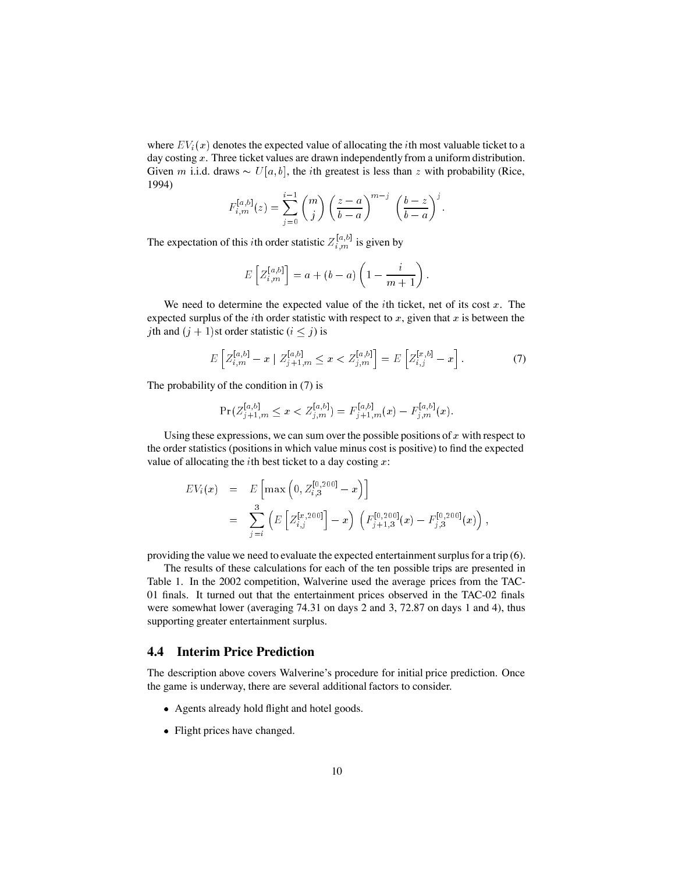where  $EV_i(x)$  denotes the expected value of allocating the *i*th most valuable ticket to a day costing x. Three ticket values are drawn independently from a uniform distribution. Given m i.i.d. draws  $\sim U[a, b]$ , the *i*th greatest is less than z with probability (Rice, 1994)

$$
F_{i,m}^{[a,b]}(z) = \sum_{j=0}^{i-1} {m \choose j} \left(\frac{z-a}{b-a}\right)^{m-j} \left(\frac{b-z}{b-a}\right)^j.
$$

The expectation of this *i*th order statistic  $Z_{i,m}^{[a,v]}$  is given by

$$
E\left[Z_{i,m}^{[a,b]}\right] = a + (b-a)\left(1 - \frac{i}{m+1}\right).
$$

We need to determine the expected value of the  $i$ th ticket, net of its cost  $x$ . The expected surplus of the *i*th order statistic with respect to  $x$ , given that  $x$  is between the *j*th and  $(j + 1)$ st order statistic  $(i \leq j)$  is

$$
E\left[Z_{i,m}^{[a,b]} - x \mid Z_{j+1,m}^{[a,b]} \leq x < Z_{j,m}^{[a,b]}\right] = E\left[Z_{i,j}^{[x,b]} - x\right].\tag{7}
$$

a se

The probability of the condition in (7) is

$$
\Pr(Z_{j+1,m}^{[a,b]} \leq x < Z_{j,m}^{[a,b]}) = F_{j+1,m}^{[a,b]}(x) - F_{j,m}^{[a,b]}(x).
$$

Using these expressions, we can sum over the possible positions of  $x$  with respect to the order statistics (positions in which value minus cost is positive) to find the expected value of allocating the *i*th best ticket to a day costing  $x$ :

$$
EV_i(x) = E\left[\max\left(0, Z_{i,3}^{[0,200]} - x\right)\right]
$$
  
= 
$$
\sum_{j=i}^{3} \left( E\left[Z_{i,j}^{[x,200]} \right] - x\right) \left(F_{j+1,3}^{[0,200]}(x) - F_{j,3}^{[0,200]}(x)\right),
$$

providing the value we need to evaluate the expected entertainment surplus for a trip (6).

The results of these calculations for each of the ten possible trips are presented in Table 1. In the 2002 competition, Walverine used the average prices from the TAC-01 finals. It turned out that the entertainment prices observed in the TAC-02 finals were somewhat lower (averaging 74.31 on days 2 and 3, 72.87 on days 1 and 4), thus supporting greater entertainment surplus.

### **4.4 Interim Price Prediction**

The description above covers Walverine's procedure for initial price prediction. Once the game is underway, there are several additional factors to consider.

- Agents already hold flight and hotel goods.
- Flight prices have changed.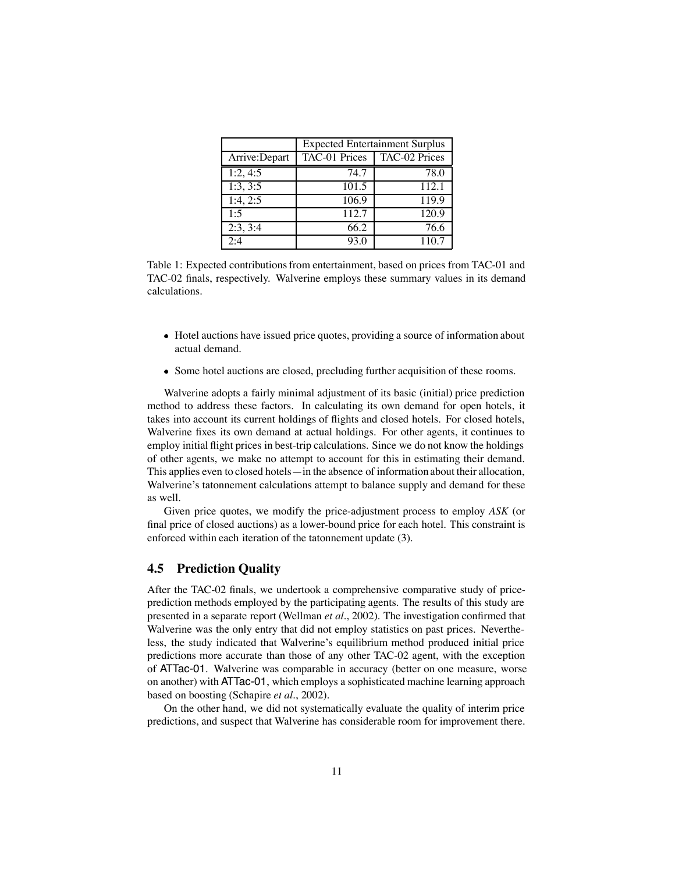|                | <b>Expected Entertainment Surplus</b> |               |  |  |
|----------------|---------------------------------------|---------------|--|--|
| Arrive: Depart | TAC-01 Prices                         | TAC-02 Prices |  |  |
| 1:2, 4:5       | 74.7                                  | 78.0          |  |  |
| 1:3,3:5        | 101.5                                 | 112.1         |  |  |
| 1:4,2:5        | 106.9                                 | 119.9         |  |  |
| 1.5            | 112.7                                 | 120.9         |  |  |
| 2:3,3:4        | 66.2                                  | 76.6          |  |  |
| 2.4            | 93.0                                  | 110.7         |  |  |

Table 1: Expected contributions from entertainment, based on prices from TAC-01 and TAC-02 finals, respectively. Walverine employs these summary values in its demand calculations.

- Hotel auctions have issued price quotes, providing a source of information about actual demand.
- Some hotel auctions are closed, precluding further acquisition of these rooms.

Walverine adopts a fairly minimal adjustment of its basic (initial) price prediction method to address these factors. In calculating its own demand for open hotels, it takes into account its current holdings of flights and closed hotels. For closed hotels, Walverine fixes its own demand at actual holdings. For other agents, it continues to employ initial flight prices in best-trip calculations. Since we do not know the holdings of other agents, we make no attempt to account for this in estimating their demand. This applies even to closed hotels—in the absence of information about their allocation, Walverine's tatonnement calculations attempt to balance supply and demand for these as well.

Given price quotes, we modify the price-adjustment process to employ *ASK* (or final price of closed auctions) as a lower-bound price for each hotel. This constraint is enforced within each iteration of the tatonnement update (3).

### **4.5 Prediction Quality**

After the TAC-02 finals, we undertook a comprehensive comparative study of priceprediction methods employed by the participating agents. The results of this study are presented in a separate report (Wellman *et al.*, 2002). The investigation confirmed that Walverine was the only entry that did not employ statistics on past prices. Nevertheless, the study indicated that Walverine's equilibrium method produced initial price predictions more accurate than those of any other TAC-02 agent, with the exception of ATTac-01. Walverine was comparable in accuracy (better on one measure, worse on another) with ATTac-01, which employs a sophisticated machine learning approach based on boosting (Schapire *et al.*, 2002).

On the other hand, we did not systematically evaluate the quality of interim price predictions, and suspect that Walverine has considerable room for improvement there.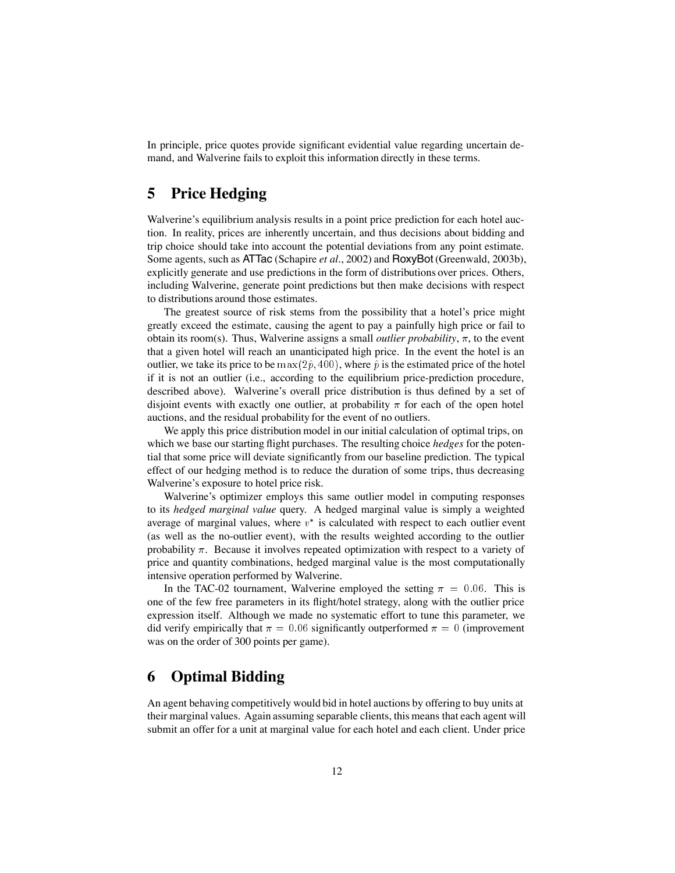In principle, price quotes provide significant evidential value regarding uncertain demand, and Walverine fails to exploit this information directly in these terms.

# **5 Price Hedging**

Walverine's equilibrium analysis results in a point price prediction for each hotel auction. In reality, prices are inherently uncertain, and thus decisions about bidding and trip choice should take into account the potential deviations from any point estimate. Some agents, such as ATTac (Schapire *et al.*, 2002) and RoxyBot (Greenwald, 2003b), explicitly generate and use predictions in the form of distributions over prices. Others, including Walverine, generate point predictions but then make decisions with respect to distributions around those estimates.

The greatest source of risk stems from the possibility that a hotel's price might greatly exceed the estimate, causing the agent to pay a painfully high price or fail to obtain its room(s). Thus, Walverine assigns a small *outlier probability*,  $\pi$ , to the event that a given hotel will reach an unanticipated high price. In the event the hotel is an outlier, we take its price to be  $\max(2\hat{p}, 400)$ , where  $\hat{p}$  is the estimated price of the hotel if it is not an outlier (i.e., according to the equilibrium price-prediction procedure, described above). Walverine's overall price distribution is thus defined by a set of disjoint events with exactly one outlier, at probability  $\pi$  for each of the open hotel auctions, and the residual probability for the event of no outliers.

We apply this price distribution model in our initial calculation of optimal trips, on which we base our starting flight purchases. The resulting choice *hedges* for the potential that some price will deviate significantly from our baseline prediction. The typical effect of our hedging method is to reduce the duration of some trips, thus decreasing Walverine's exposure to hotel price risk.

Walverine's optimizer employs this same outlier model in computing responses to its *hedged marginal value* query. A hedged marginal value is simply a weighted average of marginal values, where  $v^*$  is calculated with respect to each outlier event (as well as the no-outlier event), with the results weighted according to the outlier probability  $\pi$ . Because it involves repeated optimization with respect to a variety of price and quantity combinations, hedged marginal value is the most computationally intensive operation performed by Walverine.

In the TAC-02 tournament, Walverine employed the setting  $\pi = 0.06$ . This is one of the few free parameters in its flight/hotel strategy, along with the outlier price expression itself. Although we made no systematic effort to tune this parameter, we did verify empirically that  $\pi = 0.06$  significantly outperformed  $\pi = 0$  (improvement was on the order of 300 points per game).

# **6 Optimal Bidding**

An agent behaving competitively would bid in hotel auctions by offering to buy units at their marginal values. Again assuming separable clients, this means that each agent will submit an offer for a unit at marginal value for each hotel and each client. Under price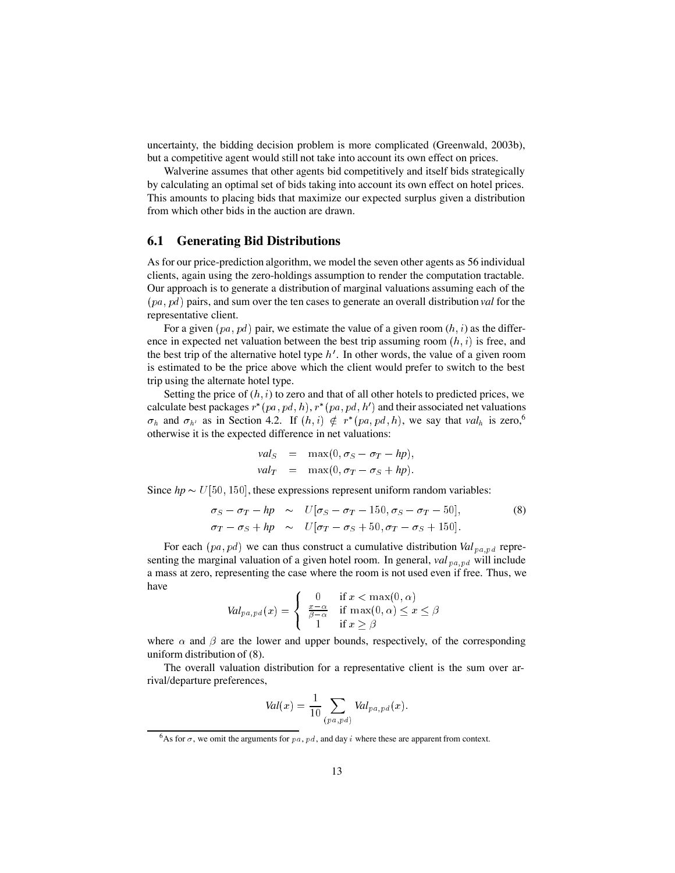uncertainty, the bidding decision problem is more complicated (Greenwald, 2003b), but a competitive agent would still not take into account its own effect on prices.

Walverine assumes that other agents bid competitively and itself bids strategically by calculating an optimal set of bids taking into account its own effect on hotel prices. This amounts to placing bids that maximize our expected surplus given a distribution from which other bids in the auction are drawn.

### **6.1 Generating Bid Distributions**

As for our price-prediction algorithm, we model the seven other agents as 56 individual clients, again using the zero-holdings assumption to render the computation tractable. Our approach is to generate a distribution of marginal valuations assuming each of the (pa, pd) pairs, and sum over the ten cases to generate an overall distribution *val* for the representative client.

For a given  $(pa, pd)$  pair, we estimate the value of a given room  $(h, i)$  as the difference in expected net valuation between the best trip assuming room  $(h, i)$  is free, and the best trip of the alternative hotel type  $h'$ . In other words, the value of a given room is estimated to be the price above which the client would prefer to switch to the best trip using the alternate hotel type.

Setting the price of  $(h, i)$  to zero and that of all other hotels to predicted prices, we calculate best packages  $r^*(pa, pd, h), r^*(pa, pd, h')$  and their associated net valuations  $\sigma_h$  and  $\sigma_{h'}$  as in Section 4.2. If  $(h, i) \notin r^*(pa, pd, h)$ , we say that *val*<sub>h</sub> is zero,<sup>6</sup> otherwise it is the expected difference in net valuations:

$$
valS = max(0, \sigmaS - \sigmaT - hp),valT = max(0, \sigmaT - \sigmaS + hp).
$$

Since  $hp \sim U[50, 150]$ , these expressions represent uniform random variables:

$$
\begin{array}{rcl}\n\sigma_S - \sigma_T - hp & \sim & U[\sigma_S - \sigma_T - 150, \sigma_S - \sigma_T - 50], \\
\sigma_T - \sigma_S + hp & \sim & U[\sigma_T - \sigma_S + 50, \sigma_T - \sigma_S + 150].\n\end{array} \tag{8}
$$

For each  $(pa, pd)$  we can thus construct a cumulative distribution  $Val_{pa, pd}$  representing the marginal valuation of a given hotel room. In general,  $val_{pa, pd}$  will include a mass at zero, representing the case where the room is not used even if free. Thus, we have

$$
Val_{pa,pd}(x) = \begin{cases} 0 & \text{if } x < \max(0, \alpha) \\ \frac{x-\alpha}{\beta-\alpha} & \text{if } \max(0, \alpha) \le x \le \beta \\ 1 & \text{if } x \ge \beta \end{cases}
$$

where  $\alpha$  and  $\beta$  are the lower and upper bounds, respectively, of the corresponding uniform distribution of (8).

The overall valuation distribution for a representative client is the sum over arrival/departure preferences,

$$
Val(x) = \frac{1}{10} \sum_{(pa, pd)} Val_{pa, pd}(x).
$$

<sup>&</sup>lt;sup>6</sup>As for  $\sigma$ , we omit the arguments for  $pa$ ,  $pd$ , and day *i* where these are apparent from context.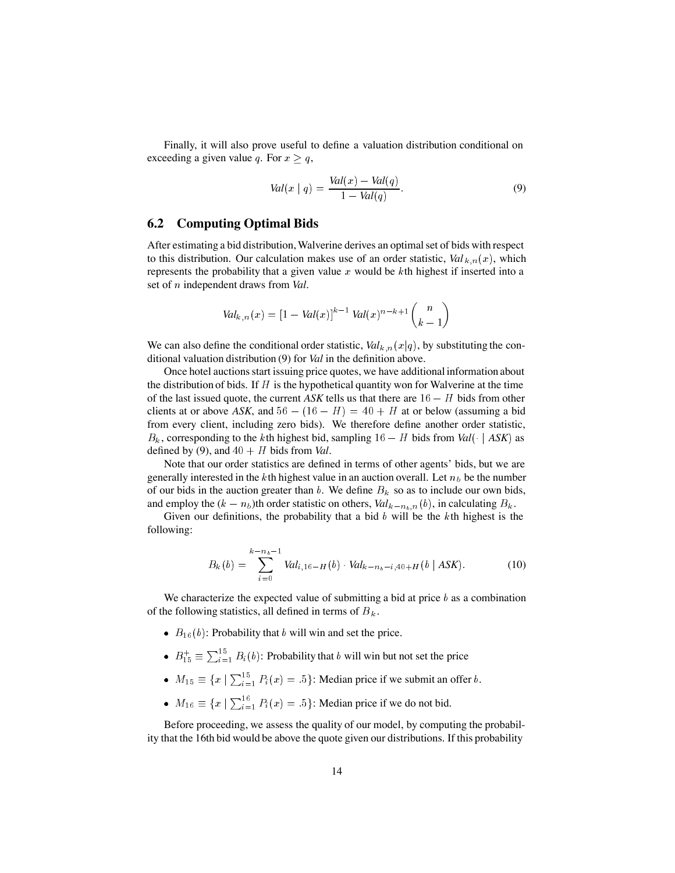Finally, it will also prove useful to define a valuation distribution conditional on exceeding a given value q. For  $x \geq q$ ,

$$
Val(x \mid q) = \frac{Val(x) - Val(q)}{1 - Val(q)}.
$$
\n(9)

### **6.2 Computing Optimal Bids**

After estimating a bid distribution,Walverine derives an optimal set of bids with respect to this distribution. Our calculation makes use of an order statistic,  $Val_{k,n}(x)$ , which represents the probability that a given value  $x$  would be  $k$ th highest if inserted into a set of independent draws from *Val*.

$$
Val_{k,n}(x) = [1 - Val(x)]^{k-1} Val(x)^{n-k+1} {n \choose k-1}
$$

We can also define the conditional order statistic,  $Val_{k,n}(x|q)$ , by substituting the conditional valuation distribution (9) for *Val* in the definition above.

Once hotel auctions start issuing price quotes, we have additional information about the distribution of bids. If  $H$  is the hypothetical quantity won for Walverine at the time of the last issued quote, the current  $ASK$  tells us that there are  $16 - H$  bids from other clients at or above ASK, and  $56 - (16 - H) = 40 + H$  at or below (assuming a bid from every client, including zero bids). We therefore define another order statistic,  $B_k$ , corresponding to the k<sup>th</sup> highest bid, sampling  $16 - H$  bids from *Val* $\left(\frac{\cdot}{\cdot} \right)$  *ASK*) as defined by (9), and  $40 + H$  bids from *Val*.

Note that our order statistics are defined in terms of other agents' bids, but we are generally interested in the  $k$ th highest value in an auction overall. Let  $n_b$  be the number of our bids in the auction greater than  $b$ . We define  $B_k$  so as to include our own bids, and employ the  $(k - n_b)$ th order statistic on others,  $Val_{k - n_b, n}(b)$ , in calculating  $B_k$ .

Given our definitions, the probability that a bid  $b$  will be the k<sup>th</sup> highest is the following:

$$
B_k(b) = \sum_{i=0}^{k-n_b-1} Val_{i,16-H}(b) \cdot Val_{k-n_b-i,40+H}(b | ASK).
$$
 (10)

We characterize the expected value of submitting a bid at price  $b$  as a combination of the following statistics, all defined in terms of  $B_k$ .

- $B_{16}(b)$ : Probability that b will win and set the price.
- $B_{15}^+ \equiv \sum_{i=1}^{15} B_i(b)$ : Probability that b will win but not set the price
- $M_{15} \equiv \{x \mid \sum_{i=1}^{15} P_i(x) = .5\}$ : Median price if we submit an offer b.
- $M_{16} \equiv \{x \mid \sum_{i=1}^{10} P_i(x) = .5\}$ : Median price if we do not bid.

Before proceeding, we assess the quality of our model, by computing the probability that the 16th bid would be above the quote given our distributions. If this probability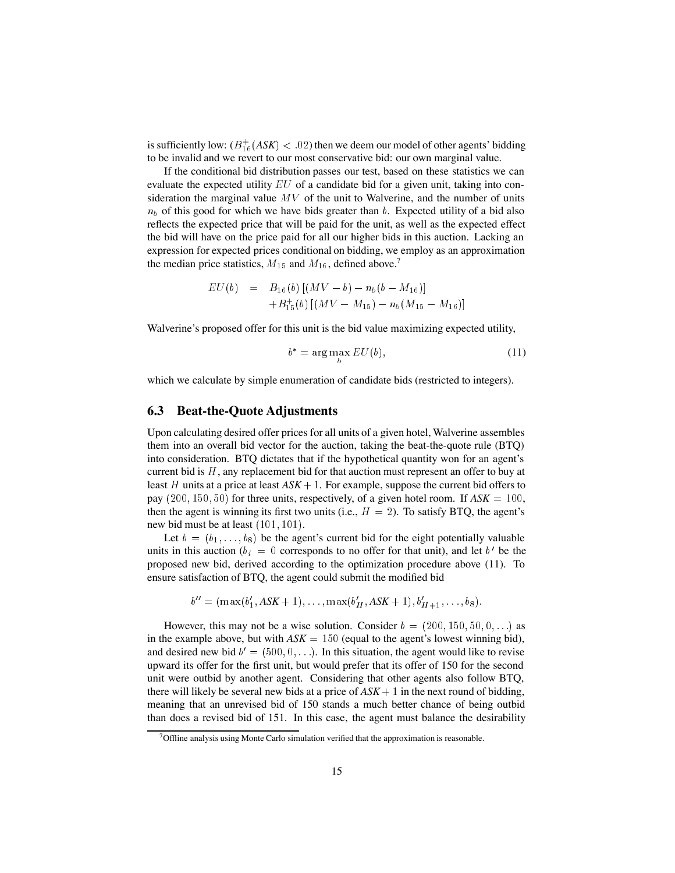is sufficiently low:  $(B_{16}^+(ASK) < .02)$  then we deem our model of other agents' bidding to be invalid and we revert to our most conservative bid: our own marginal value.

If the conditional bid distribution passes our test, based on these statistics we can evaluate the expected utility  $EU$  of a candidate bid for a given unit, taking into consideration the marginal value  $MV$  of the unit to Walverine, and the number of units  $n<sub>b</sub>$  of this good for which we have bids greater than  $b$ . Expected utility of a bid also reflects the expected price that will be paid for the unit, as well as the expected effect the bid will have on the price paid for all our higher bids in this auction. Lacking an expression for expected prices conditional on bidding, we employ as an approximation the median price statistics,  $M_{15}$  and  $M_{16}$ , defined above.<sup>7</sup>

$$
EU(b) = B_{16}(b) [(MV - b) - n_b(b - M_{16})] + B_{15}^{+}(b) [(MV - M_{15}) - n_b(M_{15} - M_{16})]
$$

Walverine's proposed offer for this unit is the bid value maximizing expected utility,

$$
b^* = \arg\max_{b} EU(b),\tag{11}
$$

which we calculate by simple enumeration of candidate bids (restricted to integers).

#### **6.3 Beat-the-Quote Adjustments**

Upon calculating desired offer prices for all units of a given hotel, Walverine assembles them into an overall bid vector for the auction, taking the beat-the-quote rule (BTQ) into consideration. BTQ dictates that if the hypothetical quantity won for an agent's current bid is  $H$ , any replacement bid for that auction must represent an offer to buy at least  $H$  units at a price at least  $ASK + 1$ . For example, suppose the current bid offers to pay  $(200, 150, 50)$  for three units, respectively, of a given hotel room. If  $ASK = 100$ , then the agent is winning its first two units (i.e.,  $H = 2$ ). To satisfy BTQ, the agent's new bid must be at least  $(101, 101)$ .

Let  $b = (b_1, \ldots, b_8)$  be the agent's current bid for the eight potentially valuable units in this auction ( $b_i = 0$  corresponds to no offer for that unit), and let  $b'$  be the proposed new bid, derived according to the optimization procedure above (11). To ensure satisfaction of BTQ, the agent could submit the modified bid

$$
b'' = (\max(b'_1, ASK + 1), \ldots, \max(b'_H, ASK + 1), b'_{H+1}, \ldots, b_8).
$$

However, this may not be a wise solution. Consider  $b = (200, 150, 50, 0, \ldots)$  as in the example above, but with  $ASK = 150$  (equal to the agent's lowest winning bid), and desired new bid  $b' = (500, 0, \ldots)$ . In this situation, the agent would like to revise upward its offer for the first unit, but would prefer that its offer of 150 for the second unit were outbid by another agent. Considering that other agents also follow BTQ, there will likely be several new bids at a price of  $ASK + 1$  in the next round of bidding, meaning that an unrevised bid of 150 stands a much better chance of being outbid than does a revised bid of 151. In this case, the agent must balance the desirability

 $7$ Offline analysis using Monte Carlo simulation verified that the approximation is reasonable.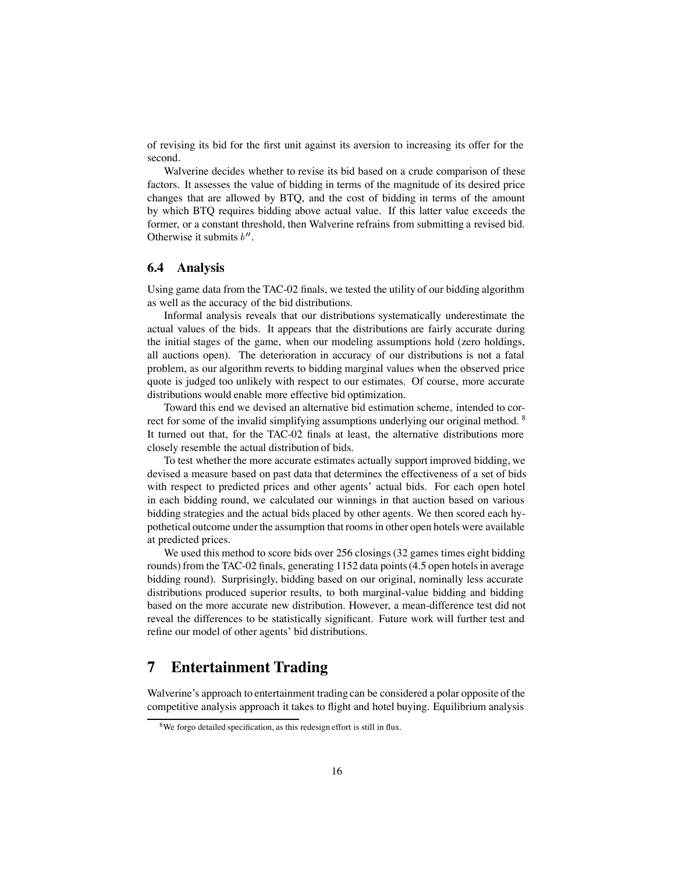of revising its bid for the first unit against its aversion to increasing its offer for the second.

Walverine decides whether to revise its bid based on a crude comparison of these factors. It assesses the value of bidding in terms of the magnitude of its desired price changes that are allowed by BTQ, and the cost of bidding in terms of the amount by which BTQ requires bidding above actual value. If this latter value exceeds the former, or a constant threshold, then Walverine refrains from submitting a revised bid. Otherwise it submits  $b''$ .

### **6.4 Analysis**

Using game data from the TAC-02 finals, we tested the utility of our bidding algorithm as well as the accuracy of the bid distributions.

Informal analysis reveals that our distributions systematically underestimate the actual values of the bids. It appears that the distributions are fairly accurate during the initial stages of the game, when our modeling assumptions hold (zero holdings, all auctions open). The deterioration in accuracy of our distributions is not a fatal problem, as our algorithm reverts to bidding marginal values when the observed price quote is judged too unlikely with respect to our estimates. Of course, more accurate distributions would enable more effective bid optimization.

Toward this end we devised an alternative bid estimation scheme, intended to correct for some of the invalid simplifying assumptions underlying our original method. <sup>8</sup> It turned out that, for the TAC-02 finals at least, the alternative distributions more closely resemble the actual distribution of bids.

To test whether the more accurate estimates actually support improved bidding, we devised a measure based on past data that determines the effectiveness of a set of bids with respect to predicted prices and other agents' actual bids. For each open hotel in each bidding round, we calculated our winnings in that auction based on various bidding strategies and the actual bids placed by other agents. We then scored each hypothetical outcome under the assumption that rooms in other open hotels were available at predicted prices.

We used this method to score bids over 256 closings (32 games times eight bidding rounds) from the TAC-02 finals, generating 1152 data points (4.5 open hotels in average bidding round). Surprisingly, bidding based on our original, nominally less accurate distributions produced superior results, to both marginal-value bidding and bidding based on the more accurate new distribution. However, a mean-difference test did not reveal the differences to be statistically significant. Future work will further test and refine our model of other agents' bid distributions.

# **7 Entertainment Trading**

Walverine's approach to entertainment trading can be considered a polar opposite of the competitive analysis approach it takes to flight and hotel buying. Equilibrium analysis

<sup>&</sup>lt;sup>8</sup>We forgo detailed specification, as this redesign effort is still in flux.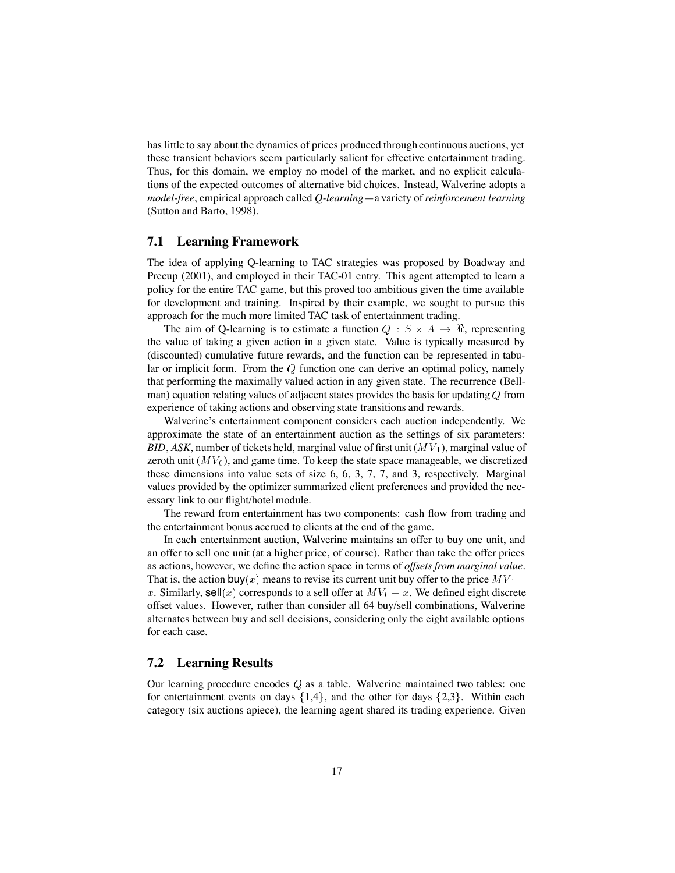has little to say about the dynamics of prices produced through continuous auctions, yet these transient behaviors seem particularly salient for effective entertainment trading. Thus, for this domain, we employ no model of the market, and no explicit calculations of the expected outcomes of alternative bid choices. Instead, Walverine adopts a *model-free*, empirical approach called *Q-learning*—a variety of*reinforcement learning* (Sutton and Barto, 1998).

#### **7.1 Learning Framework**

The idea of applying Q-learning to TAC strategies was proposed by Boadway and Precup (2001), and employed in their TAC-01 entry. This agent attempted to learn a policy for the entire TAC game, but this proved too ambitious given the time available for development and training. Inspired by their example, we sought to pursue this approach for the much more limited TAC task of entertainment trading.

The aim of Q-learning is to estimate a function  $Q : S \times A \rightarrow \mathbb{R}$ , representing the value of taking a given action in a given state. Value is typically measured by (discounted) cumulative future rewards, and the function can be represented in tabular or implicit form. From the  $Q$  function one can derive an optimal policy, namely that performing the maximally valued action in any given state. The recurrence (Bellman) equation relating values of adjacent states provides the basis for updating  $Q$  from experience of taking actions and observing state transitions and rewards.

Walverine's entertainment component considers each auction independently. We approximate the state of an entertainment auction as the settings of six parameters: *BID*, *ASK*, number of tickets held, marginal value of first unit  $(MV_1)$ , marginal value of zeroth unit  $(M V_0)$ , and game time. To keep the state space manageable, we discretized these dimensions into value sets of size 6, 6, 3, 7, 7, and 3, respectively. Marginal values provided by the optimizer summarized client preferences and provided the necessary link to our flight/hotel module.

The reward from entertainment has two components: cash flow from trading and the entertainment bonus accrued to clients at the end of the game.

In each entertainment auction, Walverine maintains an offer to buy one unit, and an offer to sell one unit (at a higher price, of course). Rather than take the offer prices as actions, however, we define the action space in terms of *offsets from marginal value*. That is, the action buy(x) means to revise its current unit buy offer to the price  $MV_1$  – x. Similarly, sell $(x)$  corresponds to a sell offer at  $MV_0 + x$ . We defined eight discrete offset values. However, rather than consider all 64 buy/sell combinations, Walverine alternates between buy and sell decisions, considering only the eight available options for each case.

### **7.2 Learning Results**

Our learning procedure encodes  $Q$  as a table. Walverine maintained two tables: one for entertainment events on days  $\{1,4\}$ , and the other for days  $\{2,3\}$ . Within each category (six auctions apiece), the learning agent shared its trading experience. Given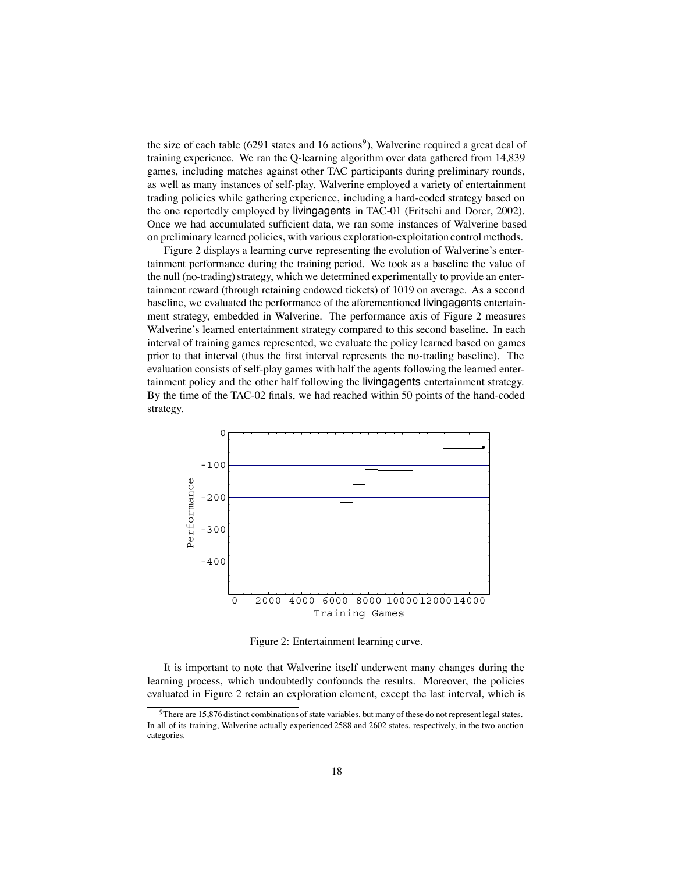the size of each table (6291 states and 16 actions<sup>9</sup>), Walverine required a great deal of training experience. We ran the Q-learning algorithm over data gathered from 14,839 games, including matches against other TAC participants during preliminary rounds, as well as many instances of self-play. Walverine employed a variety of entertainment trading policies while gathering experience, including a hard-coded strategy based on the one reportedly employed by livingagents in TAC-01 (Fritschi and Dorer, 2002). Once we had accumulated sufficient data, we ran some instances of Walverine based on preliminary learned policies, with various exploration-exploitation control methods.

Figure 2 displays a learning curve representing the evolution of Walverine's entertainment performance during the training period. We took as a baseline the value of the null (no-trading) strategy, which we determined experimentally to provide an entertainment reward (through retaining endowed tickets) of 1019 on average. As a second baseline, we evaluated the performance of the aforementioned livingagents entertainment strategy, embedded in Walverine. The performance axis of Figure 2 measures Walverine's learned entertainment strategy compared to this second baseline. In each interval of training games represented, we evaluate the policy learned based on games prior to that interval (thus the first interval represents the no-trading baseline). The evaluation consists of self-play games with half the agents following the learned entertainment policy and the other half following the livingagents entertainment strategy. By the time of the TAC-02 finals, we had reached within 50 points of the hand-coded strategy.



Figure 2: Entertainment learning curve.

It is important to note that Walverine itself underwent many changes during the learning process, which undoubtedly confounds the results. Moreover, the policies evaluated in Figure 2 retain an exploration element, except the last interval, which is

<sup>&</sup>lt;sup>9</sup>There are 15,876 distinct combinations of state variables, but many of these do not represent legal states. In all of its training, Walverine actually experienced 2588 and 2602 states, respectively, in the two auction categories.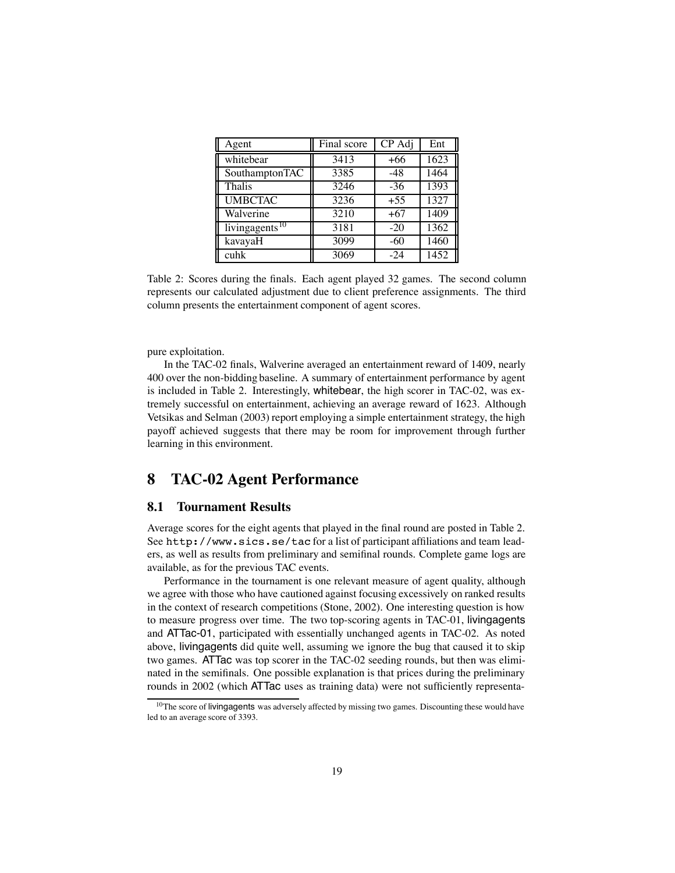| Agent                      | Final score   | CP Adj | Ent  |  |
|----------------------------|---------------|--------|------|--|
| whitebear                  | 3413          | $+66$  | 1623 |  |
| SouthamptonTAC             | 3385          | $-48$  | 1464 |  |
| Thalis                     | 3246<br>$-36$ |        | 1393 |  |
| <b>UMBCTAC</b>             | 3236          | $+55$  | 1327 |  |
| Walverine                  | 3210          | $+67$  | 1409 |  |
| livingagents <sup>10</sup> | 3181          | $-20$  | 1362 |  |
| kavayaH                    | 3099          | $-60$  | 1460 |  |
| cuhk                       | 3069          | $-24$  | 1452 |  |

Table 2: Scores during the finals. Each agent played 32 games. The second column represents our calculated adjustment due to client preference assignments. The third column presents the entertainment component of agent scores.

pure exploitation.

In the TAC-02 finals, Walverine averaged an entertainment reward of 1409, nearly 400 over the non-bidding baseline. A summary of entertainment performance by agent is included in Table 2. Interestingly, whitebear, the high scorer in TAC-02, was extremely successful on entertainment, achieving an average reward of 1623. Although Vetsikas and Selman (2003) report employing a simple entertainment strategy, the high payoff achieved suggests that there may be room for improvement through further learning in this environment.

# **8 TAC-02 Agent Performance**

#### **8.1 Tournament Results**

Average scores for the eight agents that played in the final round are posted in Table 2. See http://www.sics.se/tac for a list of participant affiliations and team leaders, as well as results from preliminary and semifinal rounds. Complete game logs are available, as for the previous TAC events.

Performance in the tournament is one relevant measure of agent quality, although we agree with those who have cautioned against focusing excessively on ranked results in the context of research competitions (Stone, 2002). One interesting question is how to measure progress over time. The two top-scoring agents in TAC-01, livingagents and ATTac-01, participated with essentially unchanged agents in TAC-02. As noted above, livingagents did quite well, assuming we ignore the bug that caused it to skip two games. ATTac was top scorer in the TAC-02 seeding rounds, but then was eliminated in the semifinals. One possible explanation is that prices during the preliminary rounds in 2002 (which ATTac uses as training data) were not sufficiently representa-

 $10$ The score of livingagents was adversely affected by missing two games. Discounting these would have led to an average score of 3393.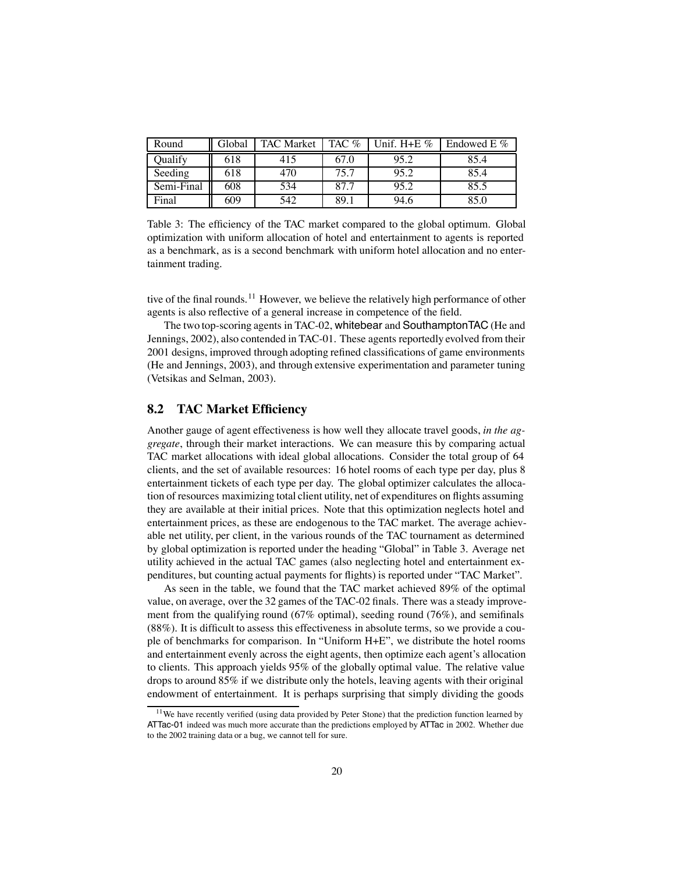| Round      | Global | <b>TAC Market</b> | TAC % | Unif. $H+E\%$ | Endowed E $%$ |
|------------|--------|-------------------|-------|---------------|---------------|
| Qualify    | 618    | 415               | 67.0  | 95.2          | 85.4          |
| Seeding    | 618    | 470               | 75.7  | 95.2          | 85.4          |
| Semi-Final | 608    | 534               | 87.7  | 95.2          | 85.5          |
| Final      | 609    | 542               | 89.1  | 94.6          | 85.0          |

Table 3: The efficiency of the TAC market compared to the global optimum. Global optimization with uniform allocation of hotel and entertainment to agents is reported as a benchmark, as is a second benchmark with uniform hotel allocation and no entertainment trading.

tive of the final rounds.<sup>11</sup> However, we believe the relatively high performance of other agents is also reflective of a general increase in competence of the field.

The two top-scoring agents in TAC-02, whitebear and SouthamptonTAC (He and Jennings, 2002), also contended in TAC-01. These agents reportedly evolved from their 2001 designs, improved through adopting refined classifications of game environments (He and Jennings, 2003), and through extensive experimentation and parameter tuning (Vetsikas and Selman, 2003).

### **8.2 TAC Market Efficiency**

Another gauge of agent effectiveness is how well they allocate travel goods, *in the aggregate*, through their market interactions. We can measure this by comparing actual TAC market allocations with ideal global allocations. Consider the total group of 64 clients, and the set of available resources: 16 hotel rooms of each type per day, plus 8 entertainment tickets of each type per day. The global optimizer calculates the allocation of resources maximizing total client utility, net of expenditures on flights assuming they are available at their initial prices. Note that this optimization neglects hotel and entertainment prices, as these are endogenous to the TAC market. The average achievable net utility, per client, in the various rounds of the TAC tournament as determined by global optimization is reported under the heading "Global" in Table 3. Average net utility achieved in the actual TAC games (also neglecting hotel and entertainment expenditures, but counting actual payments for flights) is reported under "TAC Market".

As seen in the table, we found that the TAC market achieved 89% of the optimal value, on average, over the 32 games of the TAC-02 finals. There was a steady improvement from the qualifying round (67% optimal), seeding round (76%), and semifinals (88%). It is difficult to assess this effectiveness in absolute terms, so we provide a couple of benchmarks for comparison. In "Uniform H+E", we distribute the hotel rooms and entertainment evenly across the eight agents, then optimize each agent's allocation to clients. This approach yields 95% of the globally optimal value. The relative value drops to around 85% if we distribute only the hotels, leaving agents with their original endowment of entertainment. It is perhaps surprising that simply dividing the goods

<sup>&</sup>lt;sup>11</sup>We have recently verified (using data provided by Peter Stone) that the prediction function learned by ATTac-01 indeed was much more accurate than the predictions employed by ATTac in 2002. Whether due to the 2002 training data or a bug, we cannot tell for sure.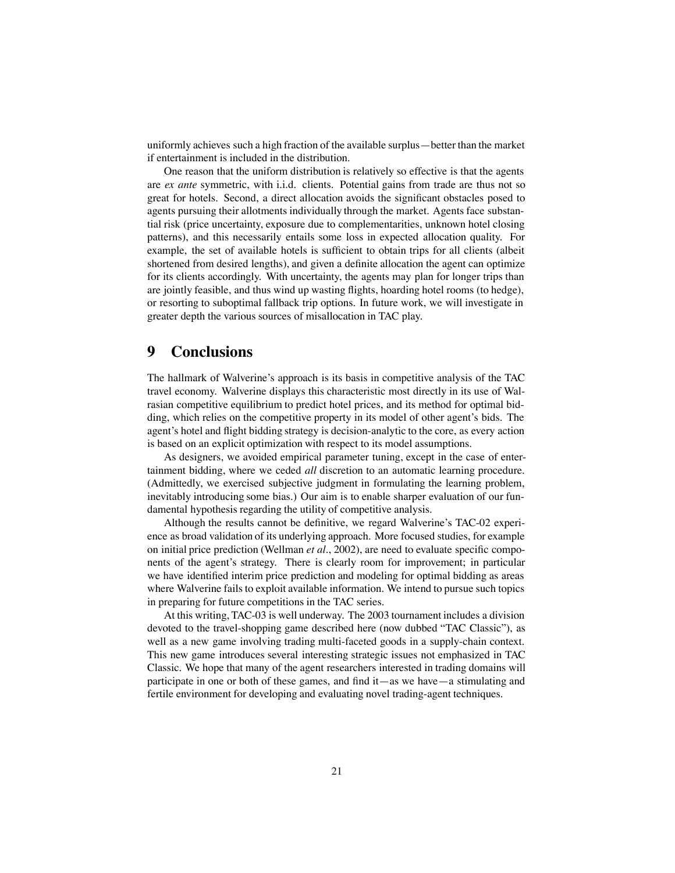uniformly achieves such a high fraction of the available surplus—better than the market if entertainment is included in the distribution.

One reason that the uniform distribution is relatively so effective is that the agents are *ex ante* symmetric, with i.i.d. clients. Potential gains from trade are thus not so great for hotels. Second, a direct allocation avoids the significant obstacles posed to agents pursuing their allotments individually through the market. Agents face substantial risk (price uncertainty, exposure due to complementarities, unknown hotel closing patterns), and this necessarily entails some loss in expected allocation quality. For example, the set of available hotels is sufficient to obtain trips for all clients (albeit shortened from desired lengths), and given a definite allocation the agent can optimize for its clients accordingly. With uncertainty, the agents may plan for longer trips than are jointly feasible, and thus wind up wasting flights, hoarding hotel rooms (to hedge), or resorting to suboptimal fallback trip options. In future work, we will investigate in greater depth the various sources of misallocation in TAC play.

# **9 Conclusions**

The hallmark of Walverine's approach is its basis in competitive analysis of the TAC travel economy. Walverine displays this characteristic most directly in its use of Walrasian competitive equilibrium to predict hotel prices, and its method for optimal bidding, which relies on the competitive property in its model of other agent's bids. The agent's hotel and flight bidding strategy is decision-analytic to the core, as every action is based on an explicit optimization with respect to its model assumptions.

As designers, we avoided empirical parameter tuning, except in the case of entertainment bidding, where we ceded *all* discretion to an automatic learning procedure. (Admittedly, we exercised subjective judgment in formulating the learning problem, inevitably introducing some bias.) Our aim is to enable sharper evaluation of our fundamental hypothesis regarding the utility of competitive analysis.

Although the results cannot be definitive, we regard Walverine's TAC-02 experience as broad validation of its underlying approach. More focused studies, for example on initial price prediction (Wellman *et al.*, 2002), are need to evaluate specific components of the agent's strategy. There is clearly room for improvement; in particular we have identified interim price prediction and modeling for optimal bidding as areas where Walverine fails to exploit available information. We intend to pursue such topics in preparing for future competitions in the TAC series.

At this writing, TAC-03 is well underway. The 2003 tournament includes a division devoted to the travel-shopping game described here (now dubbed "TAC Classic"), as well as a new game involving trading multi-faceted goods in a supply-chain context. This new game introduces several interesting strategic issues not emphasized in TAC Classic. We hope that many of the agent researchers interested in trading domains will participate in one or both of these games, and find it—as we have—a stimulating and fertile environment for developing and evaluating novel trading-agent techniques.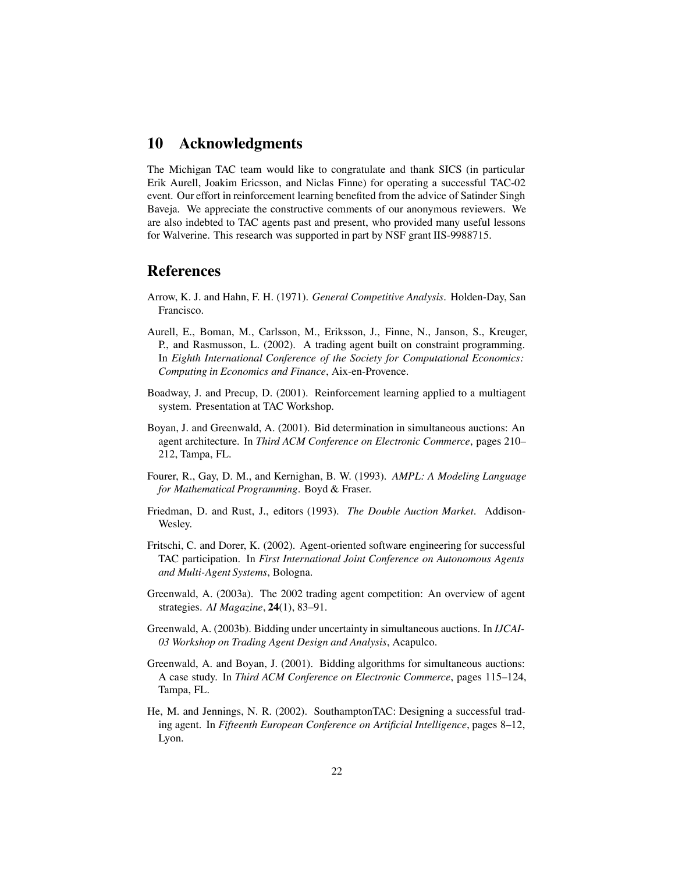### **10 Acknowledgments**

The Michigan TAC team would like to congratulate and thank SICS (in particular Erik Aurell, Joakim Ericsson, and Niclas Finne) for operating a successful TAC-02 event. Our effort in reinforcement learning benefited from the advice of Satinder Singh Baveja. We appreciate the constructive comments of our anonymous reviewers. We are also indebted to TAC agents past and present, who provided many useful lessons for Walverine. This research was supported in part by NSF grant IIS-9988715.

### **References**

- Arrow, K. J. and Hahn, F. H. (1971). *General Competitive Analysis*. Holden-Day, San Francisco.
- Aurell, E., Boman, M., Carlsson, M., Eriksson, J., Finne, N., Janson, S., Kreuger, P., and Rasmusson, L. (2002). A trading agent built on constraint programming. In *Eighth International Conference of the Society for Computational Economics: Computing in Economics and Finance*, Aix-en-Provence.
- Boadway, J. and Precup, D. (2001). Reinforcement learning applied to a multiagent system. Presentation at TAC Workshop.
- Boyan, J. and Greenwald, A. (2001). Bid determination in simultaneous auctions: An agent architecture. In *Third ACM Conference on Electronic Commerce*, pages 210– 212, Tampa, FL.
- Fourer, R., Gay, D. M., and Kernighan, B. W. (1993). *AMPL: A Modeling Language for Mathematical Programming*. Boyd & Fraser.
- Friedman, D. and Rust, J., editors (1993). *The Double Auction Market*. Addison-Wesley.
- Fritschi, C. and Dorer, K. (2002). Agent-oriented software engineering for successful TAC participation. In *First International Joint Conference on Autonomous Agents and Multi-Agent Systems*, Bologna.
- Greenwald, A. (2003a). The 2002 trading agent competition: An overview of agent strategies. *AI Magazine*, **24**(1), 83–91.
- Greenwald, A. (2003b). Bidding under uncertainty in simultaneous auctions. In *IJCAI-03 Workshop on Trading Agent Design and Analysis*, Acapulco.
- Greenwald, A. and Boyan, J. (2001). Bidding algorithms for simultaneous auctions: A case study. In *Third ACM Conference on Electronic Commerce*, pages 115–124, Tampa, FL.
- He, M. and Jennings, N. R. (2002). SouthamptonTAC: Designing a successful trading agent. In *Fifteenth European Conference on Artificial Intelligence*, pages 8–12, Lyon.